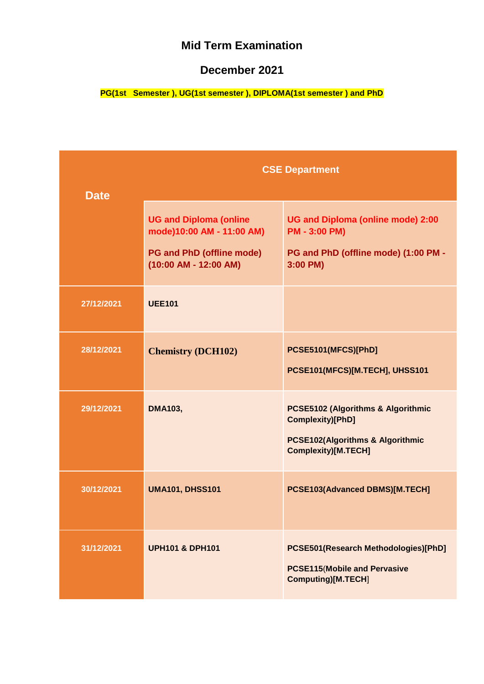### **December 2021**

|             | <b>CSE Department</b>                                       |                                                                                                    |
|-------------|-------------------------------------------------------------|----------------------------------------------------------------------------------------------------|
| <b>Date</b> |                                                             |                                                                                                    |
|             | <b>UG and Diploma (online</b><br>mode)10:00 AM - 11:00 AM)  | UG and Diploma (online mode) 2:00<br><b>PM - 3:00 PM)</b>                                          |
|             | <b>PG and PhD (offline mode)</b><br>$(10:00$ AM - 12:00 AM) | PG and PhD (offline mode) (1:00 PM -<br>3:00 PM)                                                   |
| 27/12/2021  | <b>UEE101</b>                                               |                                                                                                    |
| 28/12/2021  | <b>Chemistry (DCH102)</b>                                   | PCSE5101(MFCS)[PhD]                                                                                |
|             |                                                             | PCSE101(MFCS)[M.TECH], UHSS101                                                                     |
| 29/12/2021  | <b>DMA103,</b>                                              | <b>PCSE5102 (Algorithms &amp; Algorithmic</b><br>Complexity)[PhD]                                  |
|             |                                                             | <b>PCSE102(Algorithms &amp; Algorithmic</b><br><b>Complexity)[M.TECH]</b>                          |
| 30/12/2021  | <b>UMA101, DHSS101</b>                                      | PCSE103(Advanced DBMS)[M.TECH]                                                                     |
| 31/12/2021  | <b>UPH101 &amp; DPH101</b>                                  | PCSE501(Research Methodologies)[PhD]<br><b>PCSE115 (Mobile and Pervasive</b><br>Computing)[M.TECH] |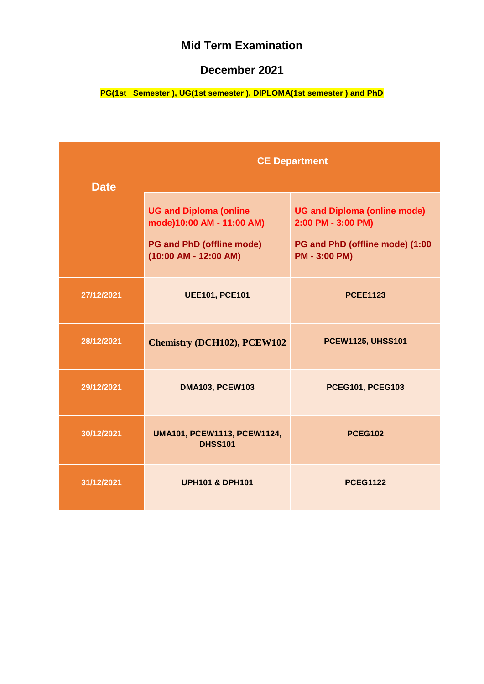### **December 2021**

| <b>Date</b> | <b>CE Department</b>                                                                                                      |                                                                                                                      |
|-------------|---------------------------------------------------------------------------------------------------------------------------|----------------------------------------------------------------------------------------------------------------------|
|             | <b>UG and Diploma (online</b><br>mode)10:00 AM - 11:00 AM)<br><b>PG and PhD (offline mode)</b><br>$(10:00$ AM - 12:00 AM) | <b>UG and Diploma (online mode)</b><br>2:00 PM - 3:00 PM)<br>PG and PhD (offline mode) (1:00<br><b>PM - 3:00 PM)</b> |
| 27/12/2021  | <b>UEE101, PCE101</b>                                                                                                     | <b>PCEE1123</b>                                                                                                      |
| 28/12/2021  | <b>Chemistry (DCH102), PCEW102</b>                                                                                        | <b>PCEW1125, UHSS101</b>                                                                                             |
| 29/12/2021  | <b>DMA103, PCEW103</b>                                                                                                    | <b>PCEG101, PCEG103</b>                                                                                              |
| 30/12/2021  | UMA101, PCEW1113, PCEW1124,<br><b>DHSS101</b>                                                                             | <b>PCEG102</b>                                                                                                       |
| 31/12/2021  | <b>UPH101 &amp; DPH101</b>                                                                                                | <b>PCEG1122</b>                                                                                                      |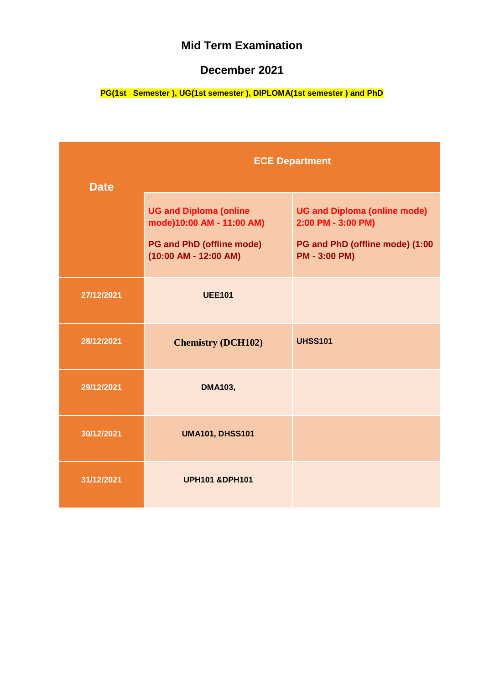### **December 2021**

| <b>Date</b> | <b>ECE Department</b>                                                                                                     |                                                                                                                      |
|-------------|---------------------------------------------------------------------------------------------------------------------------|----------------------------------------------------------------------------------------------------------------------|
|             | <b>UG and Diploma (online</b><br>mode)10:00 AM - 11:00 AM)<br><b>PG and PhD (offline mode)</b><br>$(10:00$ AM - 12:00 AM) | <b>UG and Diploma (online mode)</b><br>2:00 PM - 3:00 PM)<br>PG and PhD (offline mode) (1:00<br><b>PM - 3:00 PM)</b> |
| 27/12/2021  | <b>UEE101</b>                                                                                                             |                                                                                                                      |
| 28/12/2021  | <b>Chemistry (DCH102)</b>                                                                                                 | <b>UHSS101</b>                                                                                                       |
| 29/12/2021  | <b>DMA103,</b>                                                                                                            |                                                                                                                      |
| 30/12/2021  | <b>UMA101, DHSS101</b>                                                                                                    |                                                                                                                      |
| 31/12/2021  | <b>UPH101 &amp;DPH101</b>                                                                                                 |                                                                                                                      |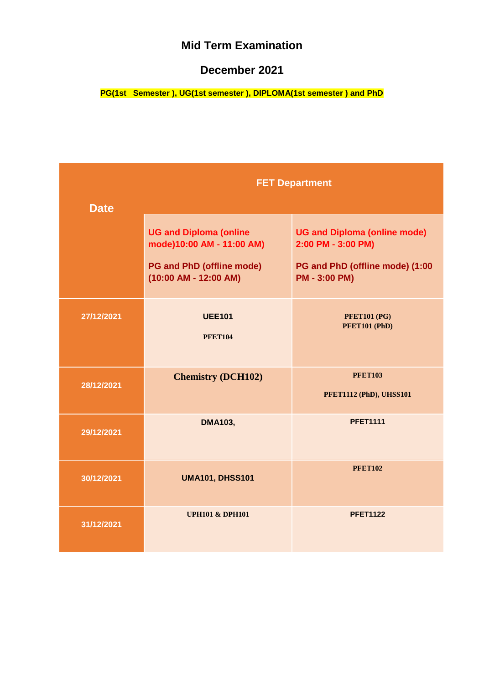### **December 2021**

| <b>Date</b> | <b>FET Department</b>                                                                                                     |                                                                                                                      |
|-------------|---------------------------------------------------------------------------------------------------------------------------|----------------------------------------------------------------------------------------------------------------------|
|             | <b>UG and Diploma (online</b><br>mode)10:00 AM - 11:00 AM)<br><b>PG and PhD (offline mode)</b><br>$(10:00$ AM - 12:00 AM) | <b>UG and Diploma (online mode)</b><br>2:00 PM - 3:00 PM)<br>PG and PhD (offline mode) (1:00<br><b>PM - 3:00 PM)</b> |
| 27/12/2021  | <b>UEE101</b><br><b>PFET104</b>                                                                                           | <b>PFET101 (PG)</b><br>PFET101 (PhD)                                                                                 |
| 28/12/2021  | <b>Chemistry (DCH102)</b>                                                                                                 | <b>PFET103</b><br>PFET1112 (PhD), UHSS101                                                                            |
| 29/12/2021  | <b>DMA103,</b>                                                                                                            | <b>PFET1111</b>                                                                                                      |
| 30/12/2021  | <b>UMA101, DHSS101</b>                                                                                                    | <b>PFET102</b>                                                                                                       |
| 31/12/2021  | <b>UPH101 &amp; DPH101</b>                                                                                                | <b>PFET1122</b>                                                                                                      |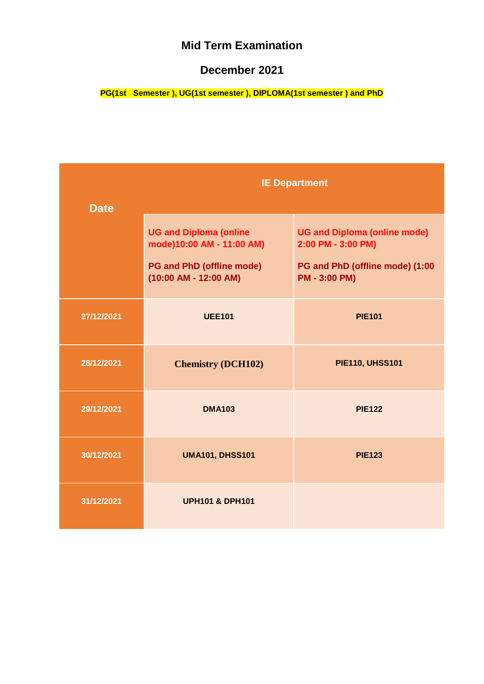### **December 2021**

| <b>Date</b> | <b>IE Department</b>                                                                                                      |                                                                                                                      |
|-------------|---------------------------------------------------------------------------------------------------------------------------|----------------------------------------------------------------------------------------------------------------------|
|             | <b>UG and Diploma (online</b><br>mode)10:00 AM - 11:00 AM)<br><b>PG and PhD (offline mode)</b><br>$(10:00$ AM - 12:00 AM) | <b>UG and Diploma (online mode)</b><br>2:00 PM - 3:00 PM)<br>PG and PhD (offline mode) (1:00<br><b>PM - 3:00 PM)</b> |
| 27/12/2021  | <b>UEE101</b>                                                                                                             | <b>PIE101</b>                                                                                                        |
| 28/12/2021  | <b>Chemistry (DCH102)</b>                                                                                                 | <b>PIE110, UHSS101</b>                                                                                               |
| 29/12/2021  | <b>DMA103</b>                                                                                                             | <b>PIE122</b>                                                                                                        |
| 30/12/2021  | <b>UMA101, DHSS101</b>                                                                                                    | <b>PIE123</b>                                                                                                        |
| 31/12/2021  | <b>UPH101 &amp; DPH101</b>                                                                                                |                                                                                                                      |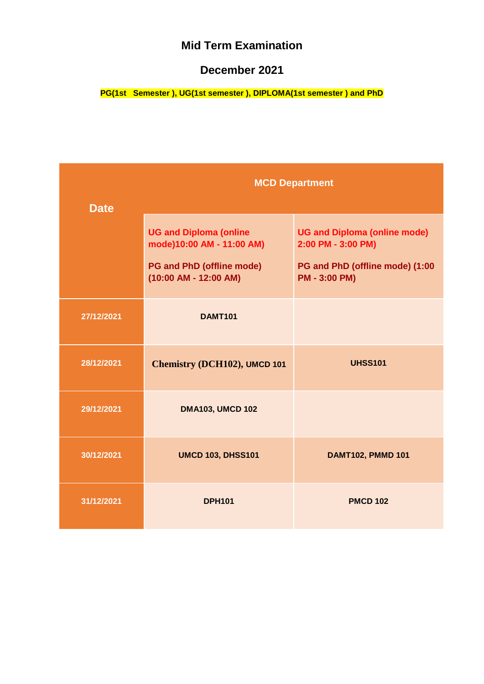### **December 2021**

| <b>Date</b> | <b>MCD Department</b>                                                                                                     |                                                                                                                      |
|-------------|---------------------------------------------------------------------------------------------------------------------------|----------------------------------------------------------------------------------------------------------------------|
|             | <b>UG and Diploma (online</b><br>mode)10:00 AM - 11:00 AM)<br><b>PG and PhD (offline mode)</b><br>$(10:00$ AM - 12:00 AM) | <b>UG and Diploma (online mode)</b><br>2:00 PM - 3:00 PM)<br>PG and PhD (offline mode) (1:00<br><b>PM - 3:00 PM)</b> |
| 27/12/2021  | <b>DAMT101</b>                                                                                                            |                                                                                                                      |
| 28/12/2021  | Chemistry (DCH102), UMCD 101                                                                                              | <b>UHSS101</b>                                                                                                       |
| 29/12/2021  | <b>DMA103, UMCD 102</b>                                                                                                   |                                                                                                                      |
| 30/12/2021  | <b>UMCD 103, DHSS101</b>                                                                                                  | <b>DAMT102, PMMD 101</b>                                                                                             |
| 31/12/2021  | <b>DPH101</b>                                                                                                             | <b>PMCD 102</b>                                                                                                      |